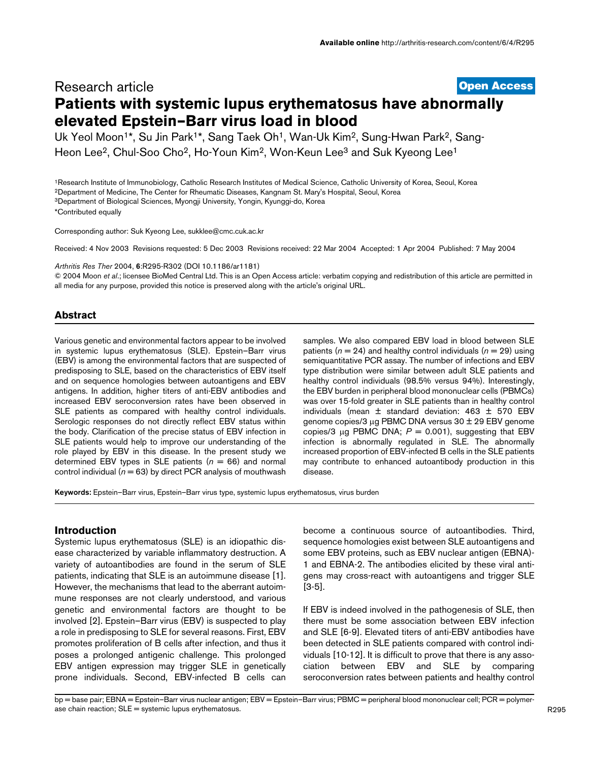# **[Open Access](http://www.biomedcentral.com/info/about/charter/)** Research article **Patients with systemic lupus erythematosus have abnormally elevated Epstein–Barr virus load in blood**

Uk Yeol Moon<sup>1\*</sup>, Su Jin Park<sup>1\*</sup>, Sang Taek Oh<sup>1</sup>, Wan-Uk Kim<sup>2</sup>, Sung-Hwan Park<sup>2</sup>, Sang-Heon Lee<sup>2</sup>, Chul-Soo Cho<sup>2</sup>, Ho-Youn Kim<sup>2</sup>, Won-Keun Lee<sup>3</sup> and Suk Kyeong Lee<sup>1</sup>

1Research Institute of Immunobiology, Catholic Research Institutes of Medical Science, Catholic University of Korea, Seoul, Korea 2Department of Medicine, The Center for Rheumatic Diseases, Kangnam St. Mary's Hospital, Seoul, Korea

3Department of Biological Sciences, Myongji University, Yongin, Kyunggi-do, Korea

\*Contributed equally

Corresponding author: Suk Kyeong Lee, sukklee@cmc.cuk.ac.k[r](http://www.ncbi.nlm.nih.gov/entrez/query.fcgi?cmd=Retrieve&db=PubMed&dopt=Abstract&list_uids=10.1186/ar1181)

Received: 4 Nov 2003 Revisions requested: 5 Dec 2003 Revisions received: 22 Mar 2004 Accepted: 1 Apr 2004 Published: 7 May 2004

*Arthritis Res Ther* 2004, 6:R295-R302 (DOI 10.1186/ar1181)

© 2004 Moon *et al*.; licensee BioMed Central Ltd. This is an Open Access article: verbatim copying and redistribution of this article are permitted in all media for any purpose, provided this notice is preserved along with the article's original URL.

## **Abstract**

Various genetic and environmental factors appear to be involved in systemic lupus erythematosus (SLE). Epstein–Barr virus (EBV) is among the environmental factors that are suspected of predisposing to SLE, based on the characteristics of EBV itself and on sequence homologies between autoantigens and EBV antigens. In addition, higher titers of anti-EBV antibodies and increased EBV seroconversion rates have been observed in SLE patients as compared with healthy control individuals. Serologic responses do not directly reflect EBV status within the body. Clarification of the precise status of EBV infection in SLE patients would help to improve our understanding of the role played by EBV in this disease. In the present study we determined EBV types in SLE patients  $(n = 66)$  and normal control individual ( $n = 63$ ) by direct PCR analysis of mouthwash

samples. We also compared EBV load in blood between SLE patients ( $n = 24$ ) and healthy control individuals ( $n = 29$ ) using semiquantitative PCR assay. The number of infections and EBV type distribution were similar between adult SLE patients and healthy control individuals (98.5% versus 94%). Interestingly, the EBV burden in peripheral blood mononuclear cells (PBMCs) was over 15-fold greater in SLE patients than in healthy control individuals (mean ± standard deviation: 463 ± 570 EBV genome copies/3 µg PBMC DNA versus 30 ± 29 EBV genome copies/3  $\mu$ g PBMC DNA;  $P = 0.001$ ), suggesting that EBV infection is abnormally regulated in SLE. The abnormally increased proportion of EBV-infected B cells in the SLE patients may contribute to enhanced autoantibody production in this disease.

**Keywords:** Epstein–Barr virus, Epstein–Barr virus type, systemic lupus erythematosus, virus burden

## **Introduction**

Systemic lupus erythematosus (SLE) is an idiopathic disease characterized by variable inflammatory destruction. A variety of autoantibodies are found in the serum of SLE patients, indicating that SLE is an autoimmune disease [1]. However, the mechanisms that lead to the aberrant autoimmune responses are not clearly understood, and various genetic and environmental factors are thought to be involved [2]. Epstein–Barr virus (EBV) is suspected to play a role in predisposing to SLE for several reasons. First, EBV promotes proliferation of B cells after infection, and thus it poses a prolonged antigenic challenge. This prolonged EBV antigen expression may trigger SLE in genetically prone individuals. Second, EBV-infected B cells can become a continuous source of autoantibodies. Third, sequence homologies exist between SLE autoantigens and some EBV proteins, such as EBV nuclear antigen (EBNA)- 1 and EBNA-2. The antibodies elicited by these viral antigens may cross-react with autoantigens and trigger SLE [3-5].

If EBV is indeed involved in the pathogenesis of SLE, then there must be some association between EBV infection and SLE [6-9]. Elevated titers of anti-EBV antibodies have been detected in SLE patients compared with control individuals [10-12]. It is difficult to prove that there is any association between EBV and SLE by comparing seroconversion rates between patients and healthy control

bp = base pair; EBNA = Epstein–Barr virus nuclear antigen; EBV = Epstein–Barr virus; PBMC = peripheral blood mononuclear cell; PCR = polymerase chain reaction; SLE = systemic lupus erythematosus.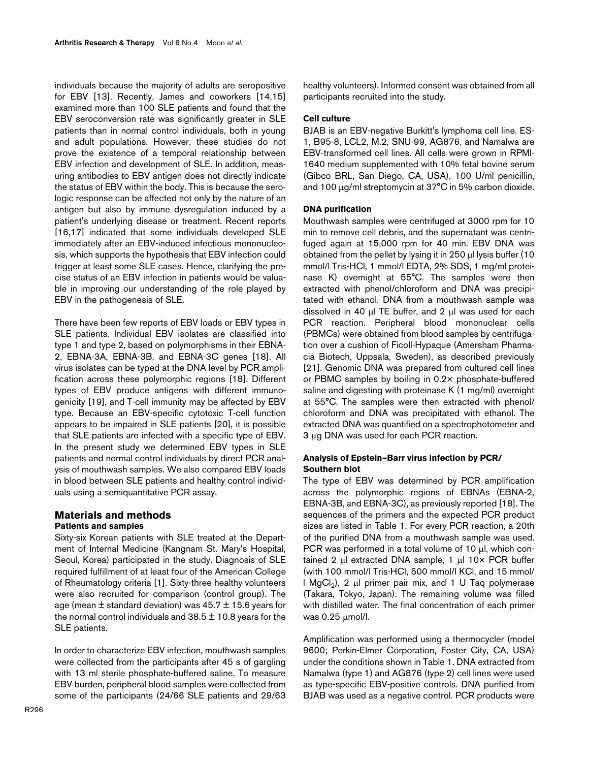individuals because the majority of adults are seropositive for EBV [13]. Recently, James and coworkers [14,15] examined more than 100 SLE patients and found that the EBV seroconversion rate was significantly greater in SLE patients than in normal control individuals, both in young and adult populations. However, these studies do not prove the existence of a temporal relationship between EBV infection and development of SLE. In addition, measuring antibodies to EBV antigen does not directly indicate the status of EBV within the body. This is because the serologic response can be affected not only by the nature of an antigen but also by immune dysregulation induced by a patient's underlying disease or treatment. Recent reports [16,17] indicated that some individuals developed SLE immediately after an EBV-induced infectious mononucleosis, which supports the hypothesis that EBV infection could trigger at least some SLE cases. Hence, clarifying the precise status of an EBV infection in patients would be valuable in improving our understanding of the role played by EBV in the pathogenesis of SLE.

There have been few reports of EBV loads or EBV types in SLE patients. Individual EBV isolates are classified into type 1 and type 2, based on polymorphisms in their EBNA-2, EBNA-3A, EBNA-3B, and EBNA-3C genes [18]. All virus isolates can be typed at the DNA level by PCR amplification across these polymorphic regions [18]. Different types of EBV produce antigens with different immunogenicity [19], and T-cell immunity may be affected by EBV type. Because an EBV-specific cytotoxic T-cell function appears to be impaired in SLE patients [20], it is possible that SLE patients are infected with a specific type of EBV. In the present study we determined EBV types in SLE patients and normal control individuals by direct PCR analysis of mouthwash samples. We also compared EBV loads in blood between SLE patients and healthy control individuals using a semiquantitative PCR assay.

## **Materials and methods Patients and samples**

Sixty-six Korean patients with SLE treated at the Department of Internal Medicine (Kangnam St. Mary's Hospital, Seoul, Korea) participated in the study. Diagnosis of SLE required fulfillment of at least four of the American College of Rheumatology criteria [1]. Sixty-three healthy volunteers were also recruited for comparison (control group). The age (mean  $\pm$  standard deviation) was 45.7  $\pm$  15.6 years for the normal control individuals and  $38.5 \pm 10.8$  years for the SLE patients.

In order to characterize EBV infection, mouthwash samples were collected from the participants after 45 s of gargling with 13 ml sterile phosphate-buffered saline. To measure EBV burden, peripheral blood samples were collected from some of the participants (24/66 SLE patients and 29/63 healthy volunteers). Informed consent was obtained from all participants recruited into the study.

### **Cell culture**

BJAB is an EBV-negative Burkitt's lymphoma cell line. ES-1, B95-8, LCL2, M.2, SNU-99, AG876, and Namalwa are EBV-transformed cell lines. All cells were grown in RPMI-1640 medium supplemented with 10% fetal bovine serum (Gibco BRL, San Diego, CA, USA), 100 U/ml penicillin, and 100 µg/ml streptomycin at 37°C in 5% carbon dioxide.

#### **DNA purification**

Mouthwash samples were centrifuged at 3000 rpm for 10 min to remove cell debris, and the supernatant was centrifuged again at 15,000 rpm for 40 min. EBV DNA was obtained from the pellet by lysing it in 250 µl lysis buffer (10 mmol/l Tris-HCl, 1 mmol/l EDTA, 2% SDS, 1 mg/ml proteinase K) overnight at 55°C. The samples were then extracted with phenol/chloroform and DNA was precipitated with ethanol. DNA from a mouthwash sample was dissolved in 40 µl TE buffer, and 2 µl was used for each PCR reaction. Peripheral blood mononuclear cells (PBMCs) were obtained from blood samples by centrifugation over a cushion of Ficoll-Hypaque (Amersham Pharmacia Biotech, Uppsala, Sweden), as described previously [21]. Genomic DNA was prepared from cultured cell lines or PBMC samples by boiling in 0.2× phosphate-buffered saline and digesting with proteinase K (1 mg/ml) overnight at 55°C. The samples were then extracted with phenol/ chloroform and DNA was precipitated with ethanol. The extracted DNA was quantified on a spectrophotometer and 3 µg DNA was used for each PCR reaction.

## **Analysis of Epstein–Barr virus infection by PCR/ Southern blot**

The type of EBV was determined by PCR amplification across the polymorphic regions of EBNAs (EBNA-2, EBNA-3B, and EBNA-3C), as previously reported [18]. The sequences of the primers and the expected PCR product sizes are listed in Table [1](#page-2-0). For every PCR reaction, a 20th of the purified DNA from a mouthwash sample was used. PCR was performed in a total volume of 10 µl, which contained 2  $\mu$ l extracted DNA sample, 1  $\mu$ l 10 $\times$  PCR buffer (with 100 mmol/l Tris-HCl, 500 mmol/l KCl, and 15 mmol/  $\vert$  MgCl<sub>2</sub>), 2 µl primer pair mix, and 1 U Taq polymerase (Takara, Tokyo, Japan). The remaining volume was filled with distilled water. The final concentration of each primer was 0.25 µmol/l.

Amplification was performed using a thermocycler (model 9600; Perkin-Elmer Corporation, Foster City, CA, USA) under the conditions shown in Table [1](#page-2-0). DNA extracted from Namalwa (type 1) and AG876 (type 2) cell lines were used as type-specific EBV-positive controls. DNA purified from BJAB was used as a negative control. PCR products were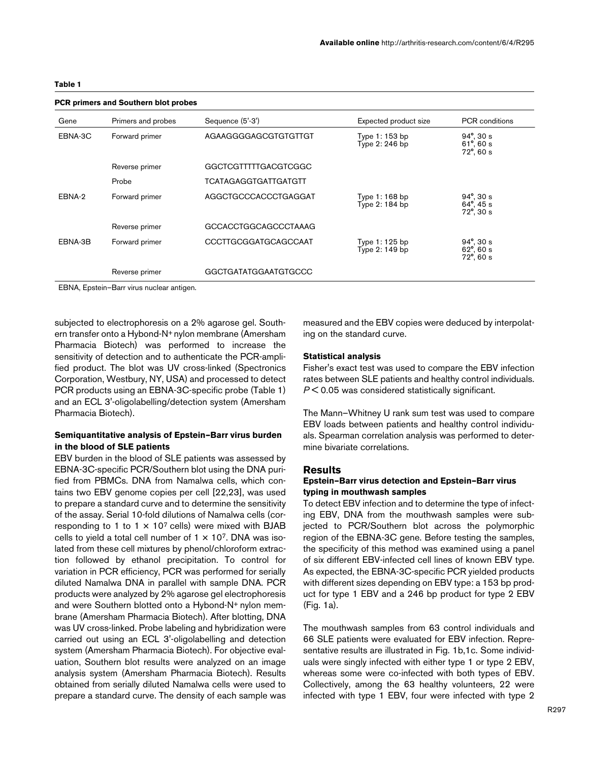### <span id="page-2-0"></span>**Table 1**

| PCR primers and Southern blot probes<br>Gene<br>Sequence (5'-3')<br>Expected product size<br><b>PCR</b> conditions<br>Primers and probes<br>AGAAGGGGAGCGTGTGTTGT<br>$94^{\circ}$ , 30 s<br>EBNA-3C<br>Forward primer<br>Type 1: 153 bp<br>Type 2: 246 bp<br>$61^{\circ}$ , 60 s<br>$72^{\circ}$ , 60 s<br>GGCTCGTTTTTGACGTCGGC<br>Reverse primer<br><b>TCATAGAGGTGATTGATGTT</b><br>Probe<br>AGGCTGCCCACCCTGAGGAT<br>EBNA-2<br>$94^{\circ}$ , 30 s<br>Forward primer<br>Type $1:168$ bp<br>Type 2: 184 bp<br>$64^{\circ}$ , 45 s<br>$72^{\circ}$ , 30 s<br>GCCACCTGGCAGCCCTAAAG<br>Reverse primer<br><b>CCCTTGCGGATGCAGCCAAT</b><br>$94^{\circ}$ , 30 s<br>EBNA-3B<br>Forward primer<br>Type 1: 125 bp<br>$62^\circ$ , 60 s<br>Type 2: 149 bp |                |                             |                     |
|----------------------------------------------------------------------------------------------------------------------------------------------------------------------------------------------------------------------------------------------------------------------------------------------------------------------------------------------------------------------------------------------------------------------------------------------------------------------------------------------------------------------------------------------------------------------------------------------------------------------------------------------------------------------------------------------------------------------------------------------|----------------|-----------------------------|---------------------|
|                                                                                                                                                                                                                                                                                                                                                                                                                                                                                                                                                                                                                                                                                                                                              |                |                             |                     |
|                                                                                                                                                                                                                                                                                                                                                                                                                                                                                                                                                                                                                                                                                                                                              |                |                             |                     |
|                                                                                                                                                                                                                                                                                                                                                                                                                                                                                                                                                                                                                                                                                                                                              |                |                             |                     |
|                                                                                                                                                                                                                                                                                                                                                                                                                                                                                                                                                                                                                                                                                                                                              |                |                             |                     |
|                                                                                                                                                                                                                                                                                                                                                                                                                                                                                                                                                                                                                                                                                                                                              |                |                             |                     |
|                                                                                                                                                                                                                                                                                                                                                                                                                                                                                                                                                                                                                                                                                                                                              |                |                             |                     |
|                                                                                                                                                                                                                                                                                                                                                                                                                                                                                                                                                                                                                                                                                                                                              |                |                             | $72^{\circ}$ , 60 s |
|                                                                                                                                                                                                                                                                                                                                                                                                                                                                                                                                                                                                                                                                                                                                              | Reverse primer | <b>GGCTGATATGGAATGTGCCC</b> |                     |

# **PCR primers and Southern blot probes**

EBNA, Epstein–Barr virus nuclear antigen.

subjected to electrophoresis on a 2% agarose gel. Southern transfer onto a Hybond-N+ nylon membrane (Amersham Pharmacia Biotech) was performed to increase the sensitivity of detection and to authenticate the PCR-amplified product. The blot was UV cross-linked (Spectronics Corporation, Westbury, NY, USA) and processed to detect PCR products using an EBNA-3C-specific probe (Table [1](#page-2-0)) and an ECL 3'-oligolabelling/detection system (Amersham Pharmacia Biotech).

## **Semiquantitative analysis of Epstein–Barr virus burden in the blood of SLE patients**

EBV burden in the blood of SLE patients was assessed by EBNA-3C-specific PCR/Southern blot using the DNA purified from PBMCs. DNA from Namalwa cells, which contains two EBV genome copies per cell [22,23], was used to prepare a standard curve and to determine the sensitivity of the assay. Serial 10-fold dilutions of Namalwa cells (corresponding to 1 to 1  $\times$  10<sup>7</sup> cells) were mixed with BJAB cells to yield a total cell number of  $1 \times 10^7$ . DNA was isolated from these cell mixtures by phenol/chloroform extraction followed by ethanol precipitation. To control for variation in PCR efficiency, PCR was performed for serially diluted Namalwa DNA in parallel with sample DNA. PCR products were analyzed by 2% agarose gel electrophoresis and were Southern blotted onto a Hybond-N+ nylon membrane (Amersham Pharmacia Biotech). After blotting, DNA was UV cross-linked. Probe labeling and hybridization were carried out using an ECL 3'-oligolabelling and detection system (Amersham Pharmacia Biotech). For objective evaluation, Southern blot results were analyzed on an image analysis system (Amersham Pharmacia Biotech). Results obtained from serially diluted Namalwa cells were used to prepare a standard curve. The density of each sample was

measured and the EBV copies were deduced by interpolating on the standard curve.

### **Statistical analysis**

Fisher's exact test was used to compare the EBV infection rates between SLE patients and healthy control individuals. *P* < 0.05 was considered statistically significant.

The Mann–Whitney U rank sum test was used to compare EBV loads between patients and healthy control individuals. Spearman correlation analysis was performed to determine bivariate correlations.

#### **Results**

## **Epstein–Barr virus detection and Epstein–Barr virus typing in mouthwash samples**

To detect EBV infection and to determine the type of infecting EBV, DNA from the mouthwash samples were subjected to PCR/Southern blot across the polymorphic region of the EBNA-3C gene. Before testing the samples, the specificity of this method was examined using a panel of six different EBV-infected cell lines of known EBV type. As expected, the EBNA-3C-specific PCR yielded products with different sizes depending on EBV type: a 153 bp product for type 1 EBV and a 246 bp product for type 2 EBV (Fig. [1a](#page-3-0)).

The mouthwash samples from 63 control individuals and 66 SLE patients were evaluated for EBV infection. Representative results are illustrated in Fig. [1](#page-3-0)b,1c. Some individuals were singly infected with either type 1 or type 2 EBV, whereas some were co-infected with both types of EBV. Collectively, among the 63 healthy volunteers, 22 were infected with type 1 EBV, four were infected with type 2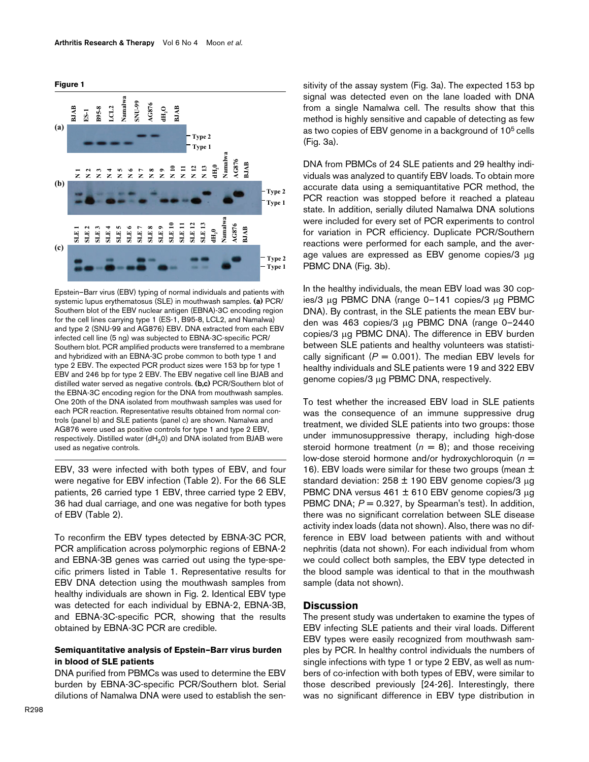

<span id="page-3-0"></span>

Epstein–Barr virus (EBV) typing of normal individuals and patients with systemic lupus erythematosus (SLE) in mouthwash samples. **(a)** PCR/ Southern blot of the EBV nuclear antigen (EBNA)-3C encoding region for the cell lines carrying type 1 (ES-1, B95-8, LCL2, and Namalwa) and type 2 (SNU-99 and AG876) EBV. DNA extracted from each EBV infected cell line (5 ng) was subjected to EBNA-3C-specific PCR/ Southern blot. PCR amplified products were transferred to a membrane and hybridized with an EBNA-3C probe common to both type 1 and type 2 EBV. The expected PCR product sizes were 153 bp for type 1 EBV and 246 bp for type 2 EBV. The EBV negative cell line BJAB and distilled water served as negative controls. **(b,c)** PCR/Southern blot of the EBNA-3C encoding region for the DNA from mouthwash samples. One 20th of the DNA isolated from mouthwash samples was used for each PCR reaction. Representative results obtained from normal controls (panel b) and SLE patients (panel c) are shown. Namalwa and AG876 were used as positive controls for type 1 and type 2 EBV, respectively. Distilled water ( $dH_2O$ ) and DNA isolated from BJAB were used as negative controls. Used as negative controls.<br>
The state of the product of the CNA 3<br>
In 19 **N** 2<br>
Controls of the CNA of the CNA of the CNA of the CNA space of the CNA<br>
Infected cell lines carrying typ and A<br>
infected cell lines carrying ty

EBV, 33 were infected with both types of EBV, and four were negative for EBV infection (Table [2](#page-4-0)). For the 66 SLE patients, 26 carried type 1 EBV, three carried type 2 EBV, 36 had dual carriage, and one was negative for both types of EBV (Table [2\)](#page-4-0).

To reconfirm the EBV types detected by EBNA-3C PCR, PCR amplification across polymorphic regions of EBNA-2 and EBNA-3B genes was carried out using the type-specific primers listed in Table [1.](#page-2-0) Representative results for EBV DNA detection using the mouthwash samples from healthy individuals are shown in Fig. 2. Identical EBV type was detected for each individual by EBNA-2, EBNA-3B, and EBNA-3C-specific PCR, showing that the results obtained by EBNA-3C PCR are credible.

## **Semiquantitative analysis of Epstein–Barr virus burden in blood of SLE patients**

DNA purified from PBMCs was used to determine the EBV burden by EBNA-3C-specific PCR/Southern blot. Serial dilutions of Namalwa DNA were used to establish the sen-

sitivity of the assay system (Fig. 3a). The expected 153 bp signal was detected even on the lane loaded with DNA from a single Namalwa cell. The results show that this method is highly sensitive and capable of detecting as few as two copies of EBV genome in a background of 105 cells (Fig. 3a).

DNA from PBMCs of 24 SLE patients and 29 healthy individuals was analyzed to quantify EBV loads. To obtain more accurate data using a semiquantitative PCR method, the PCR reaction was stopped before it reached a plateau state. In addition, serially diluted Namalwa DNA solutions were included for every set of PCR experiments to control for variation in PCR efficiency. Duplicate PCR/Southern reactions were performed for each sample, and the average values are expressed as EBV genome copies/3 µg PBMC DNA (Fig. 3b).

In the healthy individuals, the mean EBV load was 30 copies/3 µg PBMC DNA (range 0–141 copies/3 µg PBMC DNA). By contrast, in the SLE patients the mean EBV burden was 463 copies/3 µg PBMC DNA (range 0–2440 copies/3 µg PBMC DNA). The difference in EBV burden between SLE patients and healthy volunteers was statistically significant  $(P = 0.001)$ . The median EBV levels for healthy individuals and SLE patients were 19 and 322 EBV genome copies/3 µg PBMC DNA, respectively.

To test whether the increased EBV load in SLE patients was the consequence of an immune suppressive drug treatment, we divided SLE patients into two groups: those under immunosuppressive therapy, including high-dose steroid hormone treatment  $(n = 8)$ ; and those receiving low-dose steroid hormone and/or hydroxychloroquin (*n* = 16). EBV loads were similar for these two groups (mean  $\pm$ standard deviation: 258  $\pm$  190 EBV genome copies/3  $\mu$ g PBMC DNA versus  $461 \pm 610$  EBV genome copies/3  $\mu$ g PBMC DNA;  $P = 0.327$ , by Spearman's test). In addition, there was no significant correlation between SLE disease activity index loads (data not shown). Also, there was no difference in EBV load between patients with and without nephritis (data not shown). For each individual from whom we could collect both samples, the EBV type detected in the blood sample was identical to that in the mouthwash sample (data not shown).

### **Discussion**

The present study was undertaken to examine the types of EBV infecting SLE patients and their viral loads. Different EBV types were easily recognized from mouthwash samples by PCR. In healthy control individuals the numbers of single infections with type 1 or type 2 EBV, as well as numbers of co-infection with both types of EBV, were similar to those described previously [24-26]. Interestingly, there was no significant difference in EBV type distribution in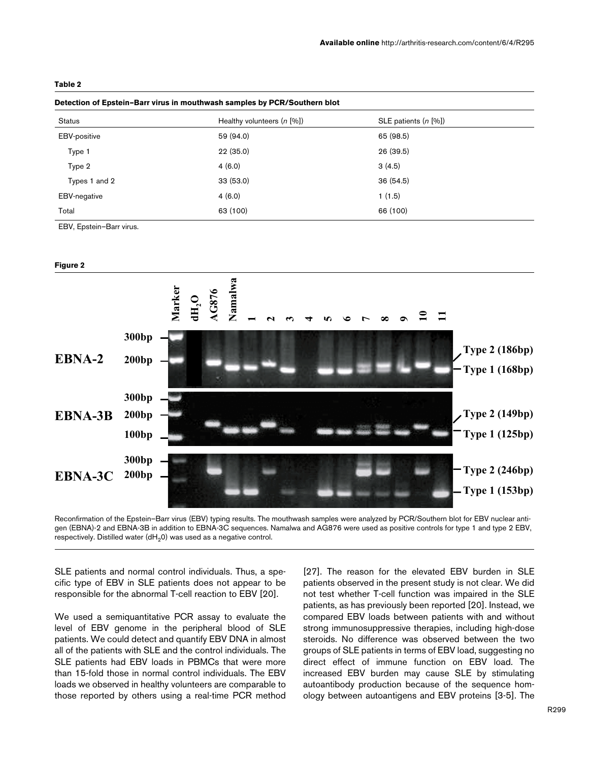#### <span id="page-4-0"></span>**Table 2**

| Detection of Epstein-Barr virus in mouthwash samples by PCR/Southern blot |                                  |                            |  |  |
|---------------------------------------------------------------------------|----------------------------------|----------------------------|--|--|
| <b>Status</b>                                                             | Healthy volunteers $(n \, [\%])$ | SLE patients $(n \, [\%])$ |  |  |
| <b>EBV-positive</b>                                                       | 59 (94.0)                        | 65 (98.5)                  |  |  |
| Type 1                                                                    | 22(35.0)                         | 26 (39.5)                  |  |  |
| Type 2                                                                    | 4(6.0)                           | 3(4.5)                     |  |  |
| Types 1 and 2                                                             | 33(53.0)                         | 36 (54.5)                  |  |  |
| <b>EBV-negative</b>                                                       | 4(6.0)                           | 1(1.5)                     |  |  |
| Total                                                                     | 63 (100)                         | 66 (100)                   |  |  |

EBV, Epstein–Barr virus.

#### **Figure 2**



Reconfirmation of the Epstein-Barr virus (EBV) typing results. The mouthwash samples were analyzed by PCR/Southern blot for EBV nuclear antigen (EBNA)-2 and EBNA-3B in addition to EBNA-3C sequences. Namalwa and AG876 were used as positive controls for type 1 and type 2 EBV,

SLE patients and normal control individuals. Thus, a specific type of EBV in SLE patients does not appear to be responsible for the abnormal T-cell reaction to EBV [20].

We used a semiquantitative PCR assay to evaluate the level of EBV genome in the peripheral blood of SLE patients. We could detect and quantify EBV DNA in almost all of the patients with SLE and the control individuals. The SLE patients had EBV loads in PBMCs that were more than 15-fold those in normal control individuals. The EBV loads we observed in healthy volunteers are comparable to those reported by others using a real-time PCR method

[27]. The reason for the elevated EBV burden in SLE patients observed in the present study is not clear. We did not test whether T-cell function was impaired in the SLE patients, as has previously been reported [20]. Instead, we compared EBV loads between patients with and without strong immunosuppressive therapies, including high-dose steroids. No difference was observed between the two groups of SLE patients in terms of EBV load, suggesting no direct effect of immune function on EBV load. The increased EBV burden may cause SLE by stimulating autoantibody production because of the sequence homology between autoantigens and EBV proteins [3-5]. The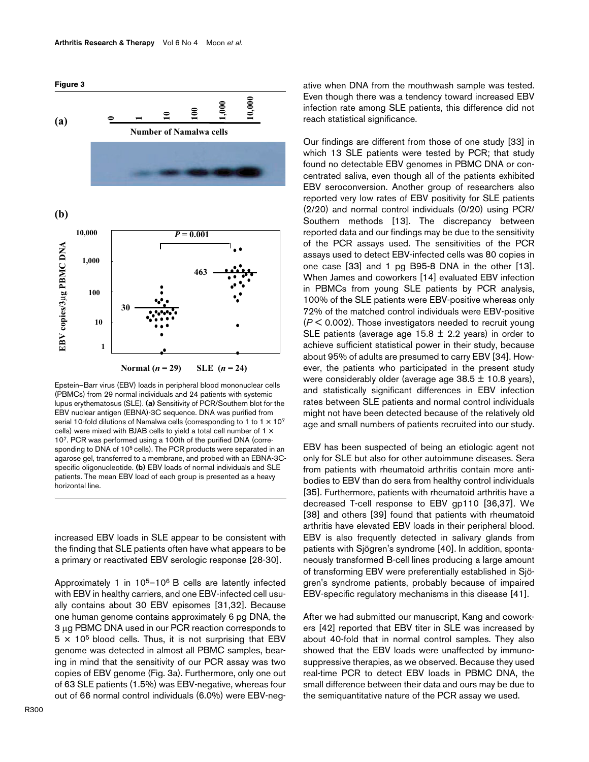

Epstein–Barr virus (EBV) loads in peripheral blood mononuclear cells (PBMCs) from 29 normal individuals and 24 patients with systemic lupus erythematosus (SLE). **(a)** Sensitivity of PCR/Southern blot for the EBV nuclear antigen (EBNA)-3C sequence. DNA was purified from serial 10-fold dilutions of Namalwa cells (corresponding to 1 to 1  $\times$  10<sup>7</sup> cells) were mixed with BJAB cells to yield a total cell number of 1 × 107. PCR was performed using a 100th of the purified DNA (corresponding to DNA of 10<sup>5</sup> cells). The PCR products were separated in an agarose gel, transferred to a membrane, and probed with an EBNA-3Cspecific oligonucleotide. **(b)** EBV loads of normal individuals and SLE patients. The mean EBV load of each group is presented as a heavy horizontal line.

increased EBV loads in SLE appear to be consistent with the finding that SLE patients often have what appears to be a primary or reactivated EBV serologic response [28-30].

Approximately 1 in 105–106 B cells are latently infected with EBV in healthy carriers, and one EBV-infected cell usually contains about 30 EBV episomes [31,32]. Because one human genome contains approximately 6 pg DNA, the 3 µg PBMC DNA used in our PCR reaction corresponds to  $5 \times 10^5$  blood cells. Thus, it is not surprising that EBV genome was detected in almost all PBMC samples, bearing in mind that the sensitivity of our PCR assay was two copies of EBV genome (Fig. 3a). Furthermore, only one out of 63 SLE patients (1.5%) was EBV-negative, whereas four out of 66 normal control individuals (6.0%) were EBV-neg-

ative when DNA from the mouthwash sample was tested. Even though there was a tendency toward increased EBV infection rate among SLE patients, this difference did not reach statistical significance.

Our findings are different from those of one study [33] in which 13 SLE patients were tested by PCR; that study found no detectable EBV genomes in PBMC DNA or concentrated saliva, even though all of the patients exhibited EBV seroconversion. Another group of researchers also reported very low rates of EBV positivity for SLE patients (2/20) and normal control individuals (0/20) using PCR/ Southern methods [13]. The discrepancy between reported data and our findings may be due to the sensitivity of the PCR assays used. The sensitivities of the PCR assays used to detect EBV-infected cells was 80 copies in one case [33] and 1 pg B95-8 DNA in the other [13]. When James and coworkers [14] evaluated EBV infection in PBMCs from young SLE patients by PCR analysis, 100% of the SLE patients were EBV-positive whereas only 72% of the matched control individuals were EBV-positive (*P* < 0.002). Those investigators needed to recruit young SLE patients (average age  $15.8 \pm 2.2$  years) in order to achieve sufficient statistical power in their study, because about 95% of adults are presumed to carry EBV [34]. However, the patients who participated in the present study were considerably older (average age  $38.5 \pm 10.8$  years), and statistically significant differences in EBV infection rates between SLE patients and normal control individuals might not have been detected because of the relatively old age and small numbers of patients recruited into our study.

EBV has been suspected of being an etiologic agent not only for SLE but also for other autoimmune diseases. Sera from patients with rheumatoid arthritis contain more antibodies to EBV than do sera from healthy control individuals [35]. Furthermore, patients with rheumatoid arthritis have a decreased T-cell response to EBV gp110 [36,37]. We [38] and others [39] found that patients with rheumatoid arthritis have elevated EBV loads in their peripheral blood. EBV is also frequently detected in salivary glands from patients with Sjögren's syndrome [40]. In addition, spontaneously transformed B-cell lines producing a large amount of transforming EBV were preferentially established in Sjögren's syndrome patients, probably because of impaired EBV-specific regulatory mechanisms in this disease [41].

After we had submitted our manuscript, Kang and coworkers [42] reported that EBV titer in SLE was increased by about 40-fold that in normal control samples. They also showed that the EBV loads were unaffected by immunosuppressive therapies, as we observed. Because they used real-time PCR to detect EBV loads in PBMC DNA, the small difference between their data and ours may be due to the semiquantitative nature of the PCR assay we used.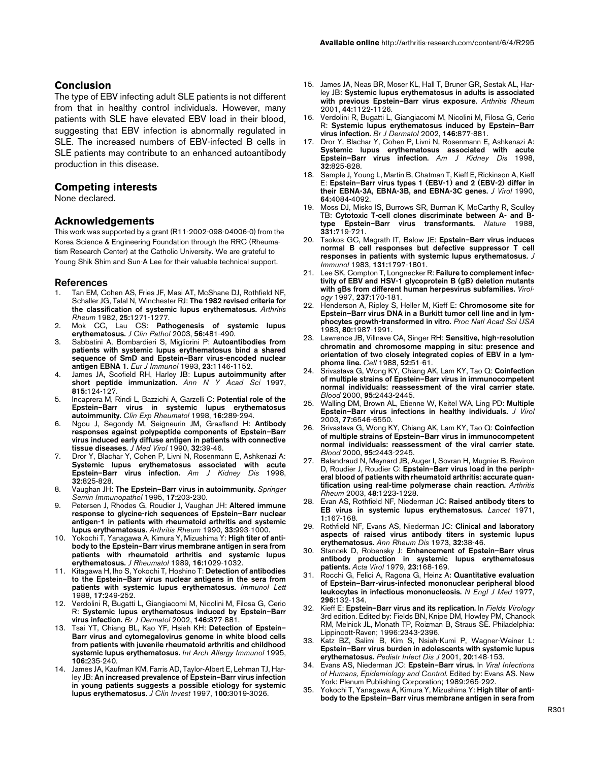## **Conclusion**

The type of EBV infecting adult SLE patients is not different from that in healthy control individuals. However, many patients with SLE have elevated EBV load in their blood, suggesting that EBV infection is abnormally regulated in SLE. The increased numbers of EBV-infected B cells in SLE patients may contribute to an enhanced autoantibody production in this disease.

### **Competing interests**

None declared.

#### **Acknowledgements**

This work was supported by a grant (R11-2002-098-04006-0) from the Korea Science & Engineering Foundation through the RRC (Rheumatism Research Center) at the Catholic University. We are grateful to Young Shik Shim and Sun-A Lee for their valuable technical support.

#### **References**

- Tan EM, Cohen AS, Fries JF, Masi AT, McShane DJ, Rothfield NF, Schaller JG, Talal N, Winchester RJ: **[The 1982 revised criteria for](http://www.ncbi.nlm.nih.gov/entrez/query.fcgi?cmd=Retrieve&db=PubMed&dopt=Abstract&list_uids=7138600) [the classification of systemic lupus erythematosus.](http://www.ncbi.nlm.nih.gov/entrez/query.fcgi?cmd=Retrieve&db=PubMed&dopt=Abstract&list_uids=7138600)** *Arthritis Rheum* 1982, **25:**1271-1277.
- 2. Mok CC, Lau CS: **[Pathogenesis of systemic lupus](http://www.ncbi.nlm.nih.gov/entrez/query.fcgi?cmd=Retrieve&db=PubMed&dopt=Abstract&list_uids=10.1136/jcp.56.7.481) [erythematosus](http://www.ncbi.nlm.nih.gov/entrez/query.fcgi?cmd=Retrieve&db=PubMed&dopt=Abstract&list_uids=10.1136/jcp.56.7.481)[.](http://www.ncbi.nlm.nih.gov/entrez/query.fcgi?cmd=Retrieve&db=PubMed&dopt=Abstract&list_uids=12835292)** *J Clin Pathol* 2003, **56:**481-490.
- 3. Sabbatini A, Bombardieri S, Migliorini P: **[Autoantibodies from](http://www.ncbi.nlm.nih.gov/entrez/query.fcgi?cmd=Retrieve&db=PubMed&dopt=Abstract&list_uids=8386666) patients with systemic lupus erythematosus bind a shared [sequence of SmD and Epstein–Barr virus-encoded nuclear](http://www.ncbi.nlm.nih.gov/entrez/query.fcgi?cmd=Retrieve&db=PubMed&dopt=Abstract&list_uids=8386666) [antigen EBNA 1.](http://www.ncbi.nlm.nih.gov/entrez/query.fcgi?cmd=Retrieve&db=PubMed&dopt=Abstract&list_uids=8386666)** *Eur J Immunol* 1993, **23:**1146-1152.
- 4. James JA, Scofield RH, Harley JB: **[Lupus autoimmunity after](http://www.ncbi.nlm.nih.gov/entrez/query.fcgi?cmd=Retrieve&db=PubMed&dopt=Abstract&list_uids=9186649) [short peptide immunization.](http://www.ncbi.nlm.nih.gov/entrez/query.fcgi?cmd=Retrieve&db=PubMed&dopt=Abstract&list_uids=9186649)** *Ann N Y Acad Sci* 1997, **815:**124-127.
- 5. Incaprera M, Rindi L, Bazzichi A, Garzelli C: **[Potential role of the](http://www.ncbi.nlm.nih.gov/entrez/query.fcgi?cmd=Retrieve&db=PubMed&dopt=Abstract&list_uids=9631751) [Epstein–Barr virus in systemic lupus erythematosus](http://www.ncbi.nlm.nih.gov/entrez/query.fcgi?cmd=Retrieve&db=PubMed&dopt=Abstract&list_uids=9631751) [autoimmunity.](http://www.ncbi.nlm.nih.gov/entrez/query.fcgi?cmd=Retrieve&db=PubMed&dopt=Abstract&list_uids=9631751)** *Clin Exp Rheumatol* 1998, **16:**289-294.
- 6. Ngou J, Segondy M, Seigneurin JM, Graafland H: **[Antibody](http://www.ncbi.nlm.nih.gov/entrez/query.fcgi?cmd=Retrieve&db=PubMed&dopt=Abstract&list_uids=2173736) responses against polypeptide components of Epstein–Barr [virus induced early diffuse antigen in patients with connective](http://www.ncbi.nlm.nih.gov/entrez/query.fcgi?cmd=Retrieve&db=PubMed&dopt=Abstract&list_uids=2173736) [tissue diseases.](http://www.ncbi.nlm.nih.gov/entrez/query.fcgi?cmd=Retrieve&db=PubMed&dopt=Abstract&list_uids=2173736)** *J Med Virol* 1990, **32:**39-46.
- 7. Dror Y, Blachar Y, Cohen P, Livni N, Rosenmann E, Ashkenazi A: **[Systemic lupus erythematosus associated with acute](http://www.ncbi.nlm.nih.gov/entrez/query.fcgi?cmd=Retrieve&db=PubMed&dopt=Abstract&list_uids=9820454) [Epstein–Barr virus infection.](http://www.ncbi.nlm.nih.gov/entrez/query.fcgi?cmd=Retrieve&db=PubMed&dopt=Abstract&list_uids=9820454)** *Am J Kidney Dis* 1998, **32:**825-828.
- 8. Vaughan JH: **[The Epstein–Barr virus in autoimmunity.](http://www.ncbi.nlm.nih.gov/entrez/query.fcgi?cmd=Retrieve&db=PubMed&dopt=Abstract&list_uids=8571169)** *Springer Semin Immunopathol* 1995, **17:**203-230.
- 9. Petersen J, Rhodes G, Roudier J, Vaughan JH: **[Altered immune](http://www.ncbi.nlm.nih.gov/entrez/query.fcgi?cmd=Retrieve&db=PubMed&dopt=Abstract&list_uids=2164400) response to glycine-rich sequences of Epstein–Barr nuclear [antigen-1 in patients with rheumatoid arthritis and systemic](http://www.ncbi.nlm.nih.gov/entrez/query.fcgi?cmd=Retrieve&db=PubMed&dopt=Abstract&list_uids=2164400) [lupus erythematosus.](http://www.ncbi.nlm.nih.gov/entrez/query.fcgi?cmd=Retrieve&db=PubMed&dopt=Abstract&list_uids=2164400)** *Arthritis Rheum* 1990, **33:**993-1000.
- 10. Yokochi T, Yanagawa A, Kimura Y, Mizushima Y: **[High titer of anti](http://www.ncbi.nlm.nih.gov/entrez/query.fcgi?cmd=Retrieve&db=PubMed&dopt=Abstract&list_uids=2555505)body to the Epstein–Barr virus membrane antigen in sera from [patients with rheumatoid arthritis and systemic lupus](http://www.ncbi.nlm.nih.gov/entrez/query.fcgi?cmd=Retrieve&db=PubMed&dopt=Abstract&list_uids=2555505) [erythematosus.](http://www.ncbi.nlm.nih.gov/entrez/query.fcgi?cmd=Retrieve&db=PubMed&dopt=Abstract&list_uids=2555505)** *J Rheumatol* 1989, **16:**1029-1032.
- 11. Kitagawa H, Iho S, Yokochi T, Hoshino T: **[Detection of antibodies](http://www.ncbi.nlm.nih.gov/entrez/query.fcgi?cmd=Retrieve&db=PubMed&dopt=Abstract&list_uids=10.1016/0165-2478(88)90037-5) [to the Epstein–Barr virus nuclear antigens in the sera from](http://www.ncbi.nlm.nih.gov/entrez/query.fcgi?cmd=Retrieve&db=PubMed&dopt=Abstract&list_uids=10.1016/0165-2478(88)90037-5) [patients with systemic lupus erythematosus](http://www.ncbi.nlm.nih.gov/entrez/query.fcgi?cmd=Retrieve&db=PubMed&dopt=Abstract&list_uids=10.1016/0165-2478(88)90037-5)[.](http://www.ncbi.nlm.nih.gov/entrez/query.fcgi?cmd=Retrieve&db=PubMed&dopt=Abstract&list_uids=2836302)** *Immunol Lett* 1988, **17:**249-252.
- 12. Verdolini R, Bugatti L, Giangiacomi M, Nicolini M, Filosa G, Cerio R: **[Systemic lupus erythematosus induced by Epstein–Barr](http://www.ncbi.nlm.nih.gov/entrez/query.fcgi?cmd=Retrieve&db=PubMed&dopt=Abstract&list_uids=10.1046/j.1365-2133.2002.04627.x) [virus infection](http://www.ncbi.nlm.nih.gov/entrez/query.fcgi?cmd=Retrieve&db=PubMed&dopt=Abstract&list_uids=10.1046/j.1365-2133.2002.04627.x)[.](http://www.ncbi.nlm.nih.gov/entrez/query.fcgi?cmd=Retrieve&db=PubMed&dopt=Abstract&list_uids=12000388)** *Br J Dermatol* 2002, **146:**877-881.
- 13. Tsai YT, Chiang BL, Kao YF, Hsieh KH: **[Detection of Epstein–](http://www.ncbi.nlm.nih.gov/entrez/query.fcgi?cmd=Retrieve&db=PubMed&dopt=Abstract&list_uids=7888786) Barr virus and cytomegalovirus genome in white blood cells [from patients with juvenile rheumatoid arthritis and childhood](http://www.ncbi.nlm.nih.gov/entrez/query.fcgi?cmd=Retrieve&db=PubMed&dopt=Abstract&list_uids=7888786) [systemic lupus erythematosus.](http://www.ncbi.nlm.nih.gov/entrez/query.fcgi?cmd=Retrieve&db=PubMed&dopt=Abstract&list_uids=7888786)** *Int Arch Allergy Immunol* 1995, **106:**235-240.
- 14. James JA, Kaufman KM, Farris AD, Taylor-Albert E, Lehman TJ, Harley JB: **[An increased prevalence of Epstein–Barr virus infection](http://www.ncbi.nlm.nih.gov/entrez/query.fcgi?cmd=Retrieve&db=PubMed&dopt=Abstract&list_uids=9399948) [in young patients suggests a possible etiology for systemic](http://www.ncbi.nlm.nih.gov/entrez/query.fcgi?cmd=Retrieve&db=PubMed&dopt=Abstract&list_uids=9399948) [lupus erythematosus.](http://www.ncbi.nlm.nih.gov/entrez/query.fcgi?cmd=Retrieve&db=PubMed&dopt=Abstract&list_uids=9399948)** *J Clin Invest* 1997, **100:**3019-3026.
- 15. James JA, Neas BR, Moser KL, Hall T, Bruner GR, Sestak AL, Harley JB: **[Systemic lupus erythematosus in adults is associated](http://www.ncbi.nlm.nih.gov/entrez/query.fcgi?cmd=Retrieve&db=PubMed&dopt=Abstract&list_uids=10.1002/1529-0131(200105)44:5<1122::AID-ANR193>3.3.CO;2-4) [with previous Epstein–Barr virus exposure](http://www.ncbi.nlm.nih.gov/entrez/query.fcgi?cmd=Retrieve&db=PubMed&dopt=Abstract&list_uids=10.1002/1529-0131(200105)44:5<1122::AID-ANR193>3.3.CO;2-4)[.](http://www.ncbi.nlm.nih.gov/entrez/query.fcgi?cmd=Retrieve&db=PubMed&dopt=Abstract&list_uids=11352244)** *Arthritis Rheum* 2001, **44:**1122-1126.
- 16. Verdolini R, Bugatti L, Giangiacomi M, Nicolini M, Filosa G, Cerio R: **[Systemic lupus erythematosus induced by Epstein–Barr](http://www.ncbi.nlm.nih.gov/entrez/query.fcgi?cmd=Retrieve&db=PubMed&dopt=Abstract&list_uids=10.1046/j.1365-2133.2002.04627.x) [virus infection](http://www.ncbi.nlm.nih.gov/entrez/query.fcgi?cmd=Retrieve&db=PubMed&dopt=Abstract&list_uids=10.1046/j.1365-2133.2002.04627.x)[.](http://www.ncbi.nlm.nih.gov/entrez/query.fcgi?cmd=Retrieve&db=PubMed&dopt=Abstract&list_uids=12000388)** *Br J Dermatol* 2002, **146:**877-881.
- 17. Dror Y, Blachar Y, Cohen P, Livni N, Rosenmann E, Ashkenazi A: **[Systemic lupus erythematosus associated with acute](http://www.ncbi.nlm.nih.gov/entrez/query.fcgi?cmd=Retrieve&db=PubMed&dopt=Abstract&list_uids=9820454) [Epstein–Barr virus infection.](http://www.ncbi.nlm.nih.gov/entrez/query.fcgi?cmd=Retrieve&db=PubMed&dopt=Abstract&list_uids=9820454)** *Am J Kidney Dis* 1998, **32:**825-828.
- 18. Sample J, Young L, Martin B, Chatman T, Kieff E, Rickinson A, Kieff E: **[Epstein–Barr virus types 1 \(EBV-1\) and 2 \(EBV-2\) differ in](http://www.ncbi.nlm.nih.gov/entrez/query.fcgi?cmd=Retrieve&db=PubMed&dopt=Abstract&list_uids=2166806) [their EBNA-3A, EBNA-3B, and EBNA-3C genes.](http://www.ncbi.nlm.nih.gov/entrez/query.fcgi?cmd=Retrieve&db=PubMed&dopt=Abstract&list_uids=2166806)** *J Virol* 1990, **64:**4084-4092.
- 19. Moss DJ, Misko IS, Burrows SR, Burman K, McCarthy R, Sculley TB: **[Cytotoxic T-cell clones discriminate between A- and B](http://www.ncbi.nlm.nih.gov/entrez/query.fcgi?cmd=Retrieve&db=PubMed&dopt=Abstract&list_uids=10.1038/331719a0)[type Epstein–Barr virus transformants](http://www.ncbi.nlm.nih.gov/entrez/query.fcgi?cmd=Retrieve&db=PubMed&dopt=Abstract&list_uids=10.1038/331719a0)[.](http://www.ncbi.nlm.nih.gov/entrez/query.fcgi?cmd=Retrieve&db=PubMed&dopt=Abstract&list_uids=2830541)** *Nature* 1988, **331:**719-721.
- 20. Tsokos GC, Magrath IT, Balow JE: **[Epstein–Barr virus induces](http://www.ncbi.nlm.nih.gov/entrez/query.fcgi?cmd=Retrieve&db=PubMed&dopt=Abstract&list_uids=6311898) [normal B cell responses but defective suppressor T cell](http://www.ncbi.nlm.nih.gov/entrez/query.fcgi?cmd=Retrieve&db=PubMed&dopt=Abstract&list_uids=6311898) [responses in patients with systemic lupus erythematosus.](http://www.ncbi.nlm.nih.gov/entrez/query.fcgi?cmd=Retrieve&db=PubMed&dopt=Abstract&list_uids=6311898)** *J Immunol* 1983, **131:**1797-1801.
- 21. Lee SK, Compton T, Longnecker R: **[Failure to complement infec](http://www.ncbi.nlm.nih.gov/entrez/query.fcgi?cmd=Retrieve&db=PubMed&dopt=Abstract&list_uids=10.1006/viro.1997.8765)[tivity of EBV and HSV-1 glycoprotein B \(gB\) deletion mutants](http://www.ncbi.nlm.nih.gov/entrez/query.fcgi?cmd=Retrieve&db=PubMed&dopt=Abstract&list_uids=10.1006/viro.1997.8765) [with gBs from different human herpesvirus subfamilies](http://www.ncbi.nlm.nih.gov/entrez/query.fcgi?cmd=Retrieve&db=PubMed&dopt=Abstract&list_uids=10.1006/viro.1997.8765)[.](http://www.ncbi.nlm.nih.gov/entrez/query.fcgi?cmd=Retrieve&db=PubMed&dopt=Abstract&list_uids=9344919)** *Virology* 1997, **237:**170-181.
- 22. Henderson A, Ripley S, Heller M, Kieff E: **[Chromosome site for](http://www.ncbi.nlm.nih.gov/entrez/query.fcgi?cmd=Retrieve&db=PubMed&dopt=Abstract&list_uids=6300885) [Epstein–Barr virus DNA in a Burkitt tumor cell line and in lym](http://www.ncbi.nlm.nih.gov/entrez/query.fcgi?cmd=Retrieve&db=PubMed&dopt=Abstract&list_uids=6300885)[phocytes growth-transformed in vitro.](http://www.ncbi.nlm.nih.gov/entrez/query.fcgi?cmd=Retrieve&db=PubMed&dopt=Abstract&list_uids=6300885)** *Proc Natl Acad Sci USA* 1983, **80:**1987-1991.
- 23. Lawrence JB, Villnave CA, Singer RH: **[Sensitive, high-resolution](http://www.ncbi.nlm.nih.gov/entrez/query.fcgi?cmd=Retrieve&db=PubMed&dopt=Abstract&list_uids=2830981) chromatin and chromosome mapping in situ: presence and [orientation of two closely integrated copies of EBV in a lym](http://www.ncbi.nlm.nih.gov/entrez/query.fcgi?cmd=Retrieve&db=PubMed&dopt=Abstract&list_uids=2830981)[phoma line.](http://www.ncbi.nlm.nih.gov/entrez/query.fcgi?cmd=Retrieve&db=PubMed&dopt=Abstract&list_uids=2830981)** *Cell* 1988, **52:**51-61.
- 24. Srivastava G, Wong KY, Chiang AK, Lam KY, Tao Q: **[Coinfection](http://www.ncbi.nlm.nih.gov/entrez/query.fcgi?cmd=Retrieve&db=PubMed&dopt=Abstract&list_uids=10733520) of multiple strains of Epstein–Barr virus in immunocompetent [normal individuals: reassessment of the viral carrier state.](http://www.ncbi.nlm.nih.gov/entrez/query.fcgi?cmd=Retrieve&db=PubMed&dopt=Abstract&list_uids=10733520)** *Blood* 2000, **95:**2443-2445.
- 25. Walling DM, Brown AL, Etienne W, Keitel WA, Ling PD: **[Multiple](http://www.ncbi.nlm.nih.gov/entrez/query.fcgi?cmd=Retrieve&db=PubMed&dopt=Abstract&list_uids=10.1128/JVI.77.11.6546-6550.2003) [Epstein–Barr virus infections in healthy individuals](http://www.ncbi.nlm.nih.gov/entrez/query.fcgi?cmd=Retrieve&db=PubMed&dopt=Abstract&list_uids=10.1128/JVI.77.11.6546-6550.2003)[.](http://www.ncbi.nlm.nih.gov/entrez/query.fcgi?cmd=Retrieve&db=PubMed&dopt=Abstract&list_uids=12743312)** *J Virol* 2003, **77:**6546-6550.
- 26. Srivastava G, Wong KY, Chiang AK, Lam KY, Tao Q: **[Coinfection](http://www.ncbi.nlm.nih.gov/entrez/query.fcgi?cmd=Retrieve&db=PubMed&dopt=Abstract&list_uids=10733520) of multiple strains of Epstein–Barr virus in immunocompetent [normal individuals: reassessment of the viral carrier state.](http://www.ncbi.nlm.nih.gov/entrez/query.fcgi?cmd=Retrieve&db=PubMed&dopt=Abstract&list_uids=10733520)** *Blood* 2000, **95:**2443-2245.
- 27. Balandraud N, Meynard JB, Auger I, Sovran H, Mugnier B, Reviron D, Roudier J, Roudier C: **[Epstein–Barr virus load in the periph](http://www.ncbi.nlm.nih.gov/entrez/query.fcgi?cmd=Retrieve&db=PubMed&dopt=Abstract&list_uids=10.1002/art.10933)[eral blood of patients with rheumatoid arthritis: accurate quan](http://www.ncbi.nlm.nih.gov/entrez/query.fcgi?cmd=Retrieve&db=PubMed&dopt=Abstract&list_uids=10.1002/art.10933)[tification using real-time polymerase chain reaction](http://www.ncbi.nlm.nih.gov/entrez/query.fcgi?cmd=Retrieve&db=PubMed&dopt=Abstract&list_uids=10.1002/art.10933)[.](http://www.ncbi.nlm.nih.gov/entrez/query.fcgi?cmd=Retrieve&db=PubMed&dopt=Abstract&list_uids=12746895)** *Arthritis Rheum* 2003, **48:**1223-1228.
- 28. Evan AS, Rothfield NF, Niederman JC: **[Raised antibody titers to](http://www.ncbi.nlm.nih.gov/entrez/query.fcgi?cmd=Retrieve&db=PubMed&dopt=Abstract&list_uids=10.1016/S0140-6736(71)91937-4) [EB virus in systemic lupus erythematosus](http://www.ncbi.nlm.nih.gov/entrez/query.fcgi?cmd=Retrieve&db=PubMed&dopt=Abstract&list_uids=10.1016/S0140-6736(71)91937-4)[.](http://www.ncbi.nlm.nih.gov/entrez/query.fcgi?cmd=Retrieve&db=PubMed&dopt=Abstract&list_uids=4102189)** *Lancet* 1971, **1:**167-168.
- 29. Rothfield NF, Evans AS, Niederman JC: **[Clinical and laboratory](http://www.ncbi.nlm.nih.gov/entrez/query.fcgi?cmd=Retrieve&db=PubMed&dopt=Abstract&list_uids=4358683) [aspects of raised virus antibody titers in systemic lupus](http://www.ncbi.nlm.nih.gov/entrez/query.fcgi?cmd=Retrieve&db=PubMed&dopt=Abstract&list_uids=4358683) [erythematosus.](http://www.ncbi.nlm.nih.gov/entrez/query.fcgi?cmd=Retrieve&db=PubMed&dopt=Abstract&list_uids=4358683)** *Ann Rheum Dis* 1973, **32:**38-46.
- 30. Stancek D, Robensky J: **[Enhancement of Epstein–Barr virus](http://www.ncbi.nlm.nih.gov/entrez/query.fcgi?cmd=Retrieve&db=PubMed&dopt=Abstract&list_uids=39442) [antibody production in systemic lupus erythematosus](http://www.ncbi.nlm.nih.gov/entrez/query.fcgi?cmd=Retrieve&db=PubMed&dopt=Abstract&list_uids=39442) [patients.](http://www.ncbi.nlm.nih.gov/entrez/query.fcgi?cmd=Retrieve&db=PubMed&dopt=Abstract&list_uids=39442)** *Acta Virol* 1979, **23:**168-169.
- 31. Rocchi G, Felici A, Ragona G, Heinz A: **[Quantitative evaluation](http://www.ncbi.nlm.nih.gov/entrez/query.fcgi?cmd=Retrieve&db=PubMed&dopt=Abstract&list_uids=187934) [of Epstein–Barr-virus-infected mononuclear peripheral blood](http://www.ncbi.nlm.nih.gov/entrez/query.fcgi?cmd=Retrieve&db=PubMed&dopt=Abstract&list_uids=187934) [leukocytes in infectious mononucleosis.](http://www.ncbi.nlm.nih.gov/entrez/query.fcgi?cmd=Retrieve&db=PubMed&dopt=Abstract&list_uids=187934)** *N Engl J Med* 1977, **296:**132-134.
- 32. Kieff E: **Epstein–Barr virus and its replication.** In *Fields Virology* 3rd edition. Edited by: Fields BN, Knipe DM, Howley PM, Chanock RM, Melnick JL, Monath TP, Roizman B, Straus SE. Philadelphia: Lippincott-Raven; 1996:2343-2396.
- 33. Katz BZ, Salimi B, Kim S, Nsiah-Kumi P, Wagner-Weiner L: **[Epstein–Barr virus burden in adolescents with systemic lupus](http://www.ncbi.nlm.nih.gov/entrez/query.fcgi?cmd=Retrieve&db=PubMed&dopt=Abstract&list_uids=10.1097/00006454-200102000-00006) [erythematosus](http://www.ncbi.nlm.nih.gov/entrez/query.fcgi?cmd=Retrieve&db=PubMed&dopt=Abstract&list_uids=10.1097/00006454-200102000-00006)[.](http://www.ncbi.nlm.nih.gov/entrez/query.fcgi?cmd=Retrieve&db=PubMed&dopt=Abstract&list_uids=11224832)** *Pediatr Infect Dis J* 2001, **20:**148-153.
- 34. Evans AS, Niederman JC: **Epstein–Barr virus.** In *Viral Infections of Humans, Epidemiology and Control.* Edited by: Evans AS. New York: Plenum Publishing Corporation; 1989:265-292.
- 35. Yokochi T, Yanagawa A, Kimura Y, Mizushima Y: **[High titer of anti](http://www.ncbi.nlm.nih.gov/entrez/query.fcgi?cmd=Retrieve&db=PubMed&dopt=Abstract&list_uids=2555505)[body to the Epstein–Barr virus membrane antigen in sera from](http://www.ncbi.nlm.nih.gov/entrez/query.fcgi?cmd=Retrieve&db=PubMed&dopt=Abstract&list_uids=2555505)**